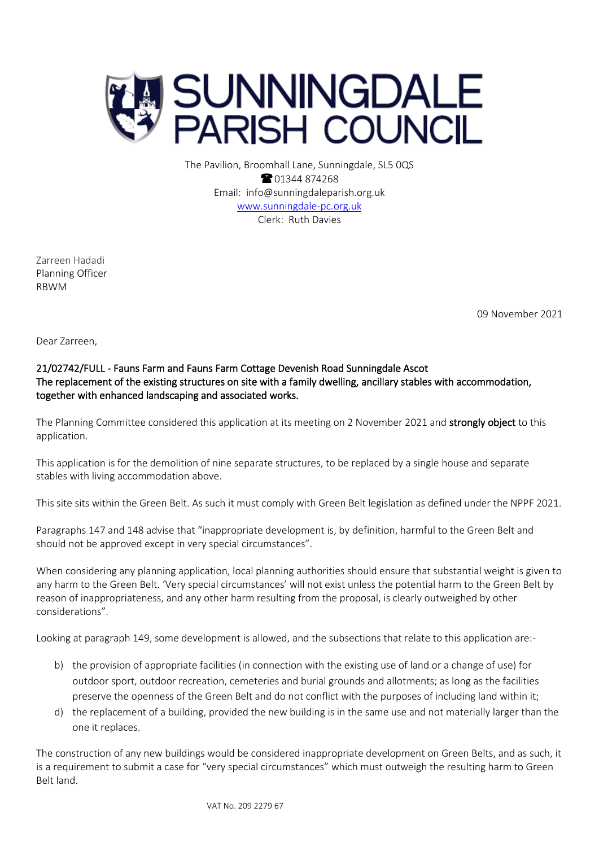

The Pavilion, Broomhall Lane, Sunningdale, SL5 0QS **@01344874268** Email: info@sunningdaleparish.org.uk [www.sunningdale-pc.org.uk](http://www.sunningdale-pc.org.uk/) Clerk: Ruth Davies

Zarreen Hadadi Planning Officer RBWM

09 November 2021

Dear Zarreen,

# 21/02742/FULL - Fauns Farm and Fauns Farm Cottage Devenish Road Sunningdale Ascot The replacement of the existing structures on site with a family dwelling, ancillary stables with accommodation, together with enhanced landscaping and associated works.

The Planning Committee considered this application at its meeting on 2 November 2021 and strongly object to this application.

This application is for the demolition of nine separate structures, to be replaced by a single house and separate stables with living accommodation above.

This site sits within the Green Belt. As such it must comply with Green Belt legislation as defined under the NPPF 2021.

Paragraphs 147 and 148 advise that "inappropriate development is, by definition, harmful to the Green Belt and should not be approved except in very special circumstances".

When considering any planning application, local planning authorities should ensure that substantial weight is given to any harm to the Green Belt. 'Very special circumstances' will not exist unless the potential harm to the Green Belt by reason of inappropriateness, and any other harm resulting from the proposal, is clearly outweighed by other considerations".

Looking at paragraph 149, some development is allowed, and the subsections that relate to this application are:-

- b) the provision of appropriate facilities (in connection with the existing use of land or a change of use) for outdoor sport, outdoor recreation, cemeteries and burial grounds and allotments; as long as the facilities preserve the openness of the Green Belt and do not conflict with the purposes of including land within it;
- d) the replacement of a building, provided the new building is in the same use and not materially larger than the one it replaces.

The construction of any new buildings would be considered inappropriate development on Green Belts, and as such, it is a requirement to submit a case for "very special circumstances" which must outweigh the resulting harm to Green Belt land.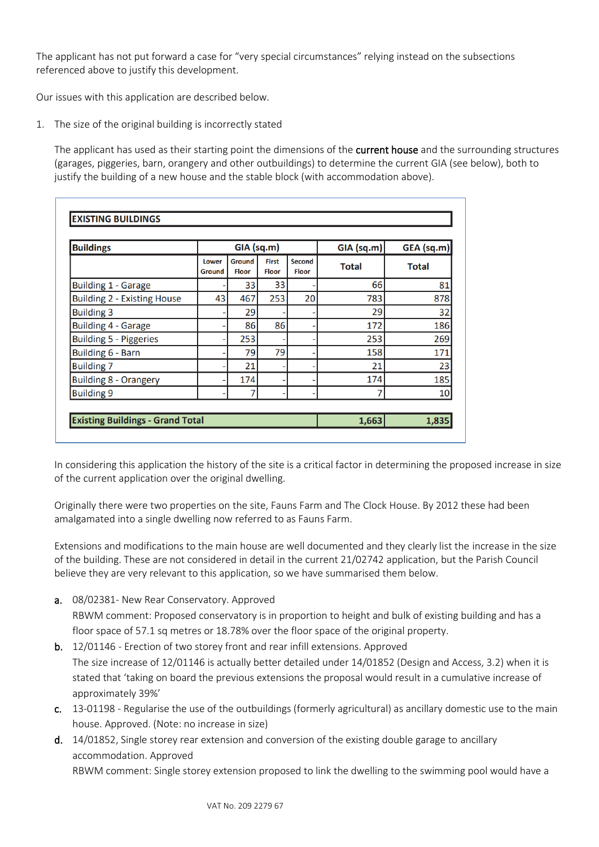The applicant has not put forward a case for "very special circumstances" relying instead on the subsections referenced above to justify this development.

Our issues with this application are described below.

1. The size of the original building is incorrectly stated

The applicant has used as their starting point the dimensions of the current house and the surrounding structures (garages, piggeries, barn, orangery and other outbuildings) to determine the current GIA (see below), both to justify the building of a new house and the stable block (with accommodation above).

| <b>Buildings</b>                   |                 | GIA (sq.m)             |                              |                               | GIA (sq.m)   | GEA (sq.m)   |
|------------------------------------|-----------------|------------------------|------------------------------|-------------------------------|--------------|--------------|
|                                    | Lower<br>Ground | Ground<br><b>Floor</b> | <b>First</b><br><b>Floor</b> | <b>Second</b><br><b>Floor</b> | <b>Total</b> | <b>Total</b> |
| <b>Building 1 - Garage</b>         |                 | 33                     | 33                           |                               | 66           | 81           |
| <b>Building 2 - Existing House</b> | 43              | 467                    | 253                          | 20                            | 783          | 878          |
| <b>Building 3</b>                  |                 | 29                     |                              |                               | 29           | 32           |
| <b>Building 4 - Garage</b>         |                 | 86                     | 86                           |                               | 172          | 186          |
| <b>Building 5 - Piggeries</b>      |                 | 253                    |                              |                               | 253          | 269          |
| <b>Building 6 - Barn</b>           |                 | 79                     | 79                           |                               | 158          | 171          |
| <b>Building 7</b>                  |                 | 21                     |                              |                               | 21           | 23           |
| <b>Building 8 - Orangery</b>       |                 | 174                    |                              |                               | 174          | 185          |
| <b>Building 9</b>                  |                 | 7                      |                              |                               |              | 10           |

In considering this application the history of the site is a critical factor in determining the proposed increase in size of the current application over the original dwelling.

Originally there were two properties on the site, Fauns Farm and The Clock House. By 2012 these had been amalgamated into a single dwelling now referred to as Fauns Farm.

Extensions and modifications to the main house are well documented and they clearly list the increase in the size of the building. These are not considered in detail in the current 21/02742 application, but the Parish Council believe they are very relevant to this application, so we have summarised them below.

a. 08/02381- New Rear Conservatory. Approved

RBWM comment: Proposed conservatory is in proportion to height and bulk of existing building and has a floor space of 57.1 sq metres or 18.78% over the floor space of the original property.

- b. 12/01146 Erection of two storey front and rear infill extensions. Approved The size increase of 12/01146 is actually better detailed under 14/01852 (Design and Access, 3.2) when it is stated that 'taking on board the previous extensions the proposal would result in a cumulative increase of approximately 39%'
- c. 13-01198 Regularise the use of the outbuildings (formerly agricultural) as ancillary domestic use to the main house. Approved. (Note: no increase in size)
- d. 14/01852, Single storey rear extension and conversion of the existing double garage to ancillary accommodation. Approved

RBWM comment: Single storey extension proposed to link the dwelling to the swimming pool would have a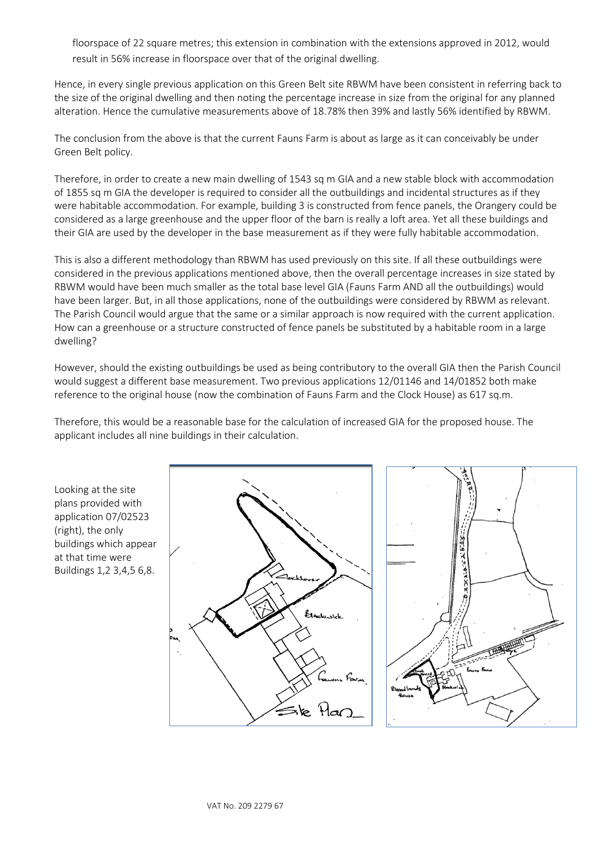floorspace of 22 square metres; this extension in combination with the extensions approved in 2012, would result in 56% increase in floorspace over that of the original dwelling.

Hence, in every single previous application on this Green Belt site RBWM have been consistent in referring back to the size of the original dwelling and then noting the percentage increase in size from the original for any planned alteration. Hence the cumulative measurements above of 18.78% then 39% and lastly 56% identified by RBWM.

The conclusion from the above is that the current Fauns Farm is about as large as it can conceivably be under Green Belt policy.

Therefore, in order to create a new main dwelling of 1543 sq m GIA and a new stable block with accommodation of 1855 sq m GIA the developer is required to consider all the outbuildings and incidental structures as if they were habitable accommodation. For example, building 3 is constructed from fence panels, the Orangery could be considered as a large greenhouse and the upper floor of the barn is really a loft area. Yet all these buildings and their GIA are used by the developer in the base measurement as if they were fully habitable accommodation.

This is also a different methodology than RBWM has used previously on this site. If all these outbuildings were considered in the previous applications mentioned above, then the overall percentage increases in size stated by RBWM would have been much smaller as the total base level GIA (Fauns Farm AND all the outbuildings) would have been larger. But, in all those applications, none of the outbuildings were considered by RBWM as relevant. The Parish Council would argue that the same or a similar approach is now required with the current application. How can a greenhouse or a structure constructed of fence panels be substituted by a habitable room in a large dwelling?

However, should the existing outbuildings be used as being contributory to the overall GIA then the Parish Council would suggest a different base measurement. Two previous applications 12/01146 and 14/01852 both make reference to the original house (now the combination of Fauns Farm and the Clock House) as 617 sq.m.

Therefore, this would be a reasonable base for the calculation of increased GIA for the proposed house. The applicant includes all nine buildings in their calculation.

Looking at the site plans provided with application 07/02523 (right), the only buildings which appear at that time were Buildings 1,2 3,4,5 6,8.



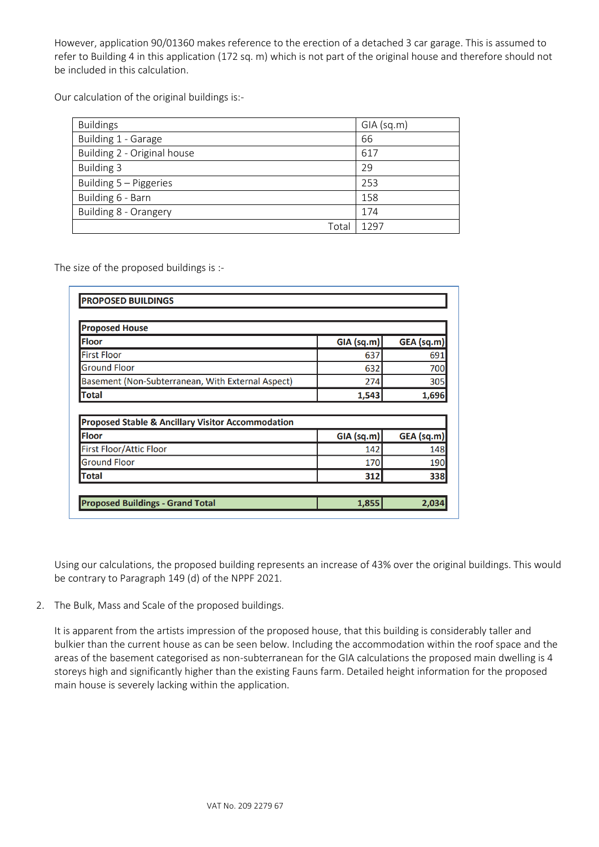However, application 90/01360 makes reference to the erection of a detached 3 car garage. This is assumed to refer to Building 4 in this application (172 sq. m) which is not part of the original house and therefore should not be included in this calculation.

Our calculation of the original buildings is:-

| <b>Buildings</b>            | $GIA$ (sq.m) |
|-----------------------------|--------------|
| Building 1 - Garage         | 66           |
| Building 2 - Original house | 617          |
| Building 3                  | 29           |
| Building 5 - Piggeries      | 253          |
| Building 6 - Barn           | 158          |
| Building 8 - Orangery       | 174          |
| Total                       | 1297         |

The size of the proposed buildings is :-

| <b>Proposed House</b>                                                                               |            |            |
|-----------------------------------------------------------------------------------------------------|------------|------------|
| <b>Floor</b>                                                                                        | GIA (sq.m) | GEA (sq.m) |
| <b>First Floor</b>                                                                                  | 637        | 691        |
| <b>Ground Floor</b>                                                                                 | 632        | 700        |
|                                                                                                     | 274        | 305        |
| Basement (Non-Subterranean, With External Aspect)                                                   |            |            |
| <b>Total</b>                                                                                        | 1,543      | 1,696      |
|                                                                                                     |            |            |
|                                                                                                     | GIA (sq.m) | GEA (sq.m) |
| <b>First Floor/Attic Floor</b>                                                                      | 142        |            |
| <b>Proposed Stable &amp; Ancillary Visitor Accommodation</b><br><b>Floor</b><br><b>Ground Floor</b> | 170        | 148<br>190 |

Using our calculations, the proposed building represents an increase of 43% over the original buildings. This would be contrary to Paragraph 149 (d) of the NPPF 2021.

2. The Bulk, Mass and Scale of the proposed buildings.

It is apparent from the artists impression of the proposed house, that this building is considerably taller and bulkier than the current house as can be seen below. Including the accommodation within the roof space and the areas of the basement categorised as non-subterranean for the GIA calculations the proposed main dwelling is 4 storeys high and significantly higher than the existing Fauns farm. Detailed height information for the proposed main house is severely lacking within the application.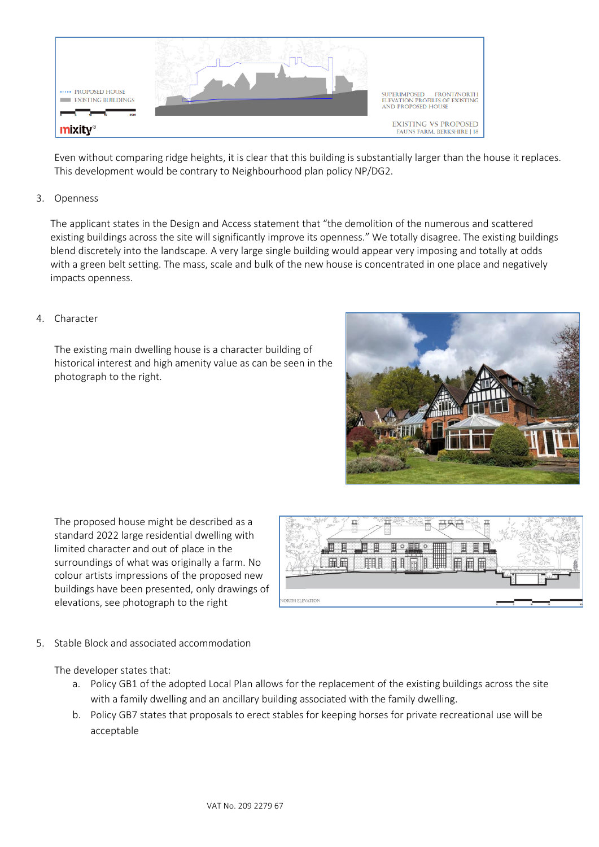

Even without comparing ridge heights, it is clear that this building is substantially larger than the house it replaces. This development would be contrary to Neighbourhood plan policy NP/DG2.

#### 3. Openness

The applicant states in the Design and Access statement that "the demolition of the numerous and scattered existing buildings across the site will significantly improve its openness." We totally disagree. The existing buildings blend discretely into the landscape. A very large single building would appear very imposing and totally at odds with a green belt setting. The mass, scale and bulk of the new house is concentrated in one place and negatively impacts openness.

### 4. Character

The existing main dwelling house is a character building of historical interest and high amenity value as can be seen in the photograph to the right.



The proposed house might be described as a standard 2022 large residential dwelling with limited character and out of place in the surroundings of what was originally a farm. No colour artists impressions of the proposed new buildings have been presented, only drawings of elevations, see photograph to the right



5. Stable Block and associated accommodation

The developer states that:

- a. Policy GB1 of the adopted Local Plan allows for the replacement of the existing buildings across the site with a family dwelling and an ancillary building associated with the family dwelling.
- b. Policy GB7 states that proposals to erect stables for keeping horses for private recreational use will be acceptable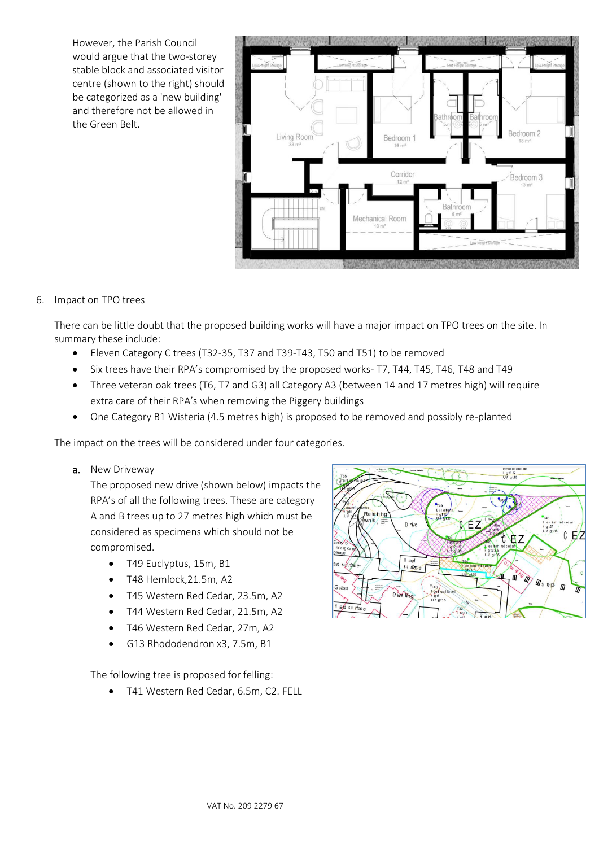However, the Parish Council would argue that the two-storey stable block and associated visitor centre (shown to the right) should be categorized as a 'new building' and therefore not be allowed in the Green Belt.



## 6. Impact on TPO trees

There can be little doubt that the proposed building works will have a major impact on TPO trees on the site. In summary these include:

- Eleven Category C trees (T32-35, T37 and T39-T43, T50 and T51) to be removed
- Six trees have their RPA's compromised by the proposed works- T7, T44, T45, T46, T48 and T49
- Three veteran oak trees (T6, T7 and G3) all Category A3 (between 14 and 17 metres high) will require extra care of their RPA's when removing the Piggery buildings
- One Category B1 Wisteria (4.5 metres high) is proposed to be removed and possibly re-planted

The impact on the trees will be considered under four categories.

a. New Driveway

The proposed new drive (shown below) impacts the RPA's of all the following trees. These are category A and B trees up to 27 metres high which must be considered as specimens which should not be compromised.

- T49 Euclyptus, 15m, B1
- T48 Hemlock, 21.5m, A2
- T45 Western Red Cedar, 23.5m, A2
- T44 Western Red Cedar, 21.5m, A2
- T46 Western Red Cedar, 27m, A2
- G13 Rhododendron x3, 7.5m, B1

The following tree is proposed for felling:

• T41 Western Red Cedar, 6.5m, C2. FELL

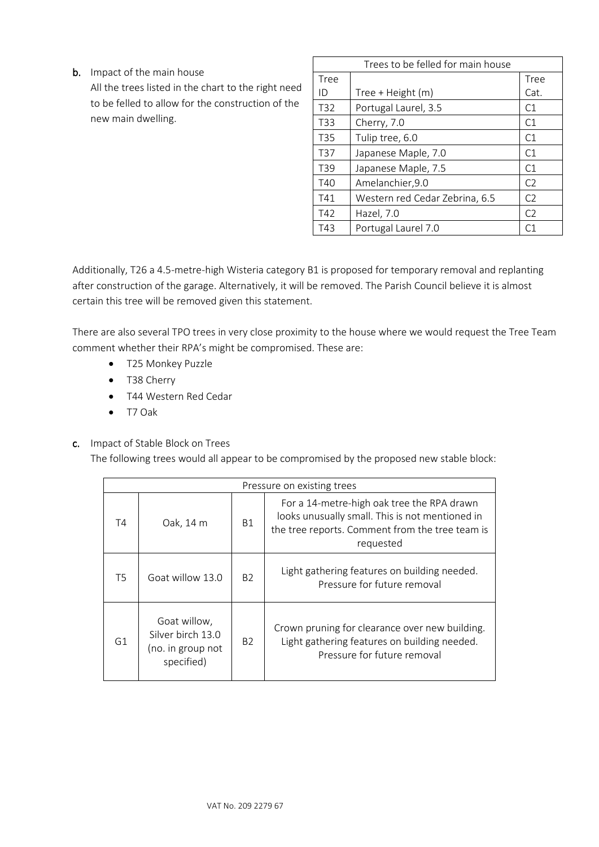**b.** Impact of the main house

All the trees listed in the chart to the right need to be felled to allow for the construction of the new main dwelling.

|      | Trees to be felled for main house |                |
|------|-----------------------------------|----------------|
| Tree |                                   | Tree           |
| ID   | Tree + Height (m)                 | Cat.           |
| T32  | Portugal Laurel, 3.5              | C <sub>1</sub> |
| T33  | Cherry, 7.0                       | C1             |
| T35  | Tulip tree, 6.0                   | C1             |
| T37  | Japanese Maple, 7.0               | C <sub>1</sub> |
| T39  | Japanese Maple, 7.5               | C <sub>1</sub> |
| T40  | Amelanchier, 9.0                  | C <sub>2</sub> |
| T41  | Western red Cedar Zebrina, 6.5    | C <sub>2</sub> |
| T42  | Hazel, 7.0                        | C2             |
| T43  | Portugal Laurel 7.0               |                |

Additionally, T26 a 4.5-metre-high Wisteria category B1 is proposed for temporary removal and replanting after construction of the garage. Alternatively, it will be removed. The Parish Council believe it is almost certain this tree will be removed given this statement.

There are also several TPO trees in very close proximity to the house where we would request the Tree Team comment whether their RPA's might be compromised. These are:

- T25 Monkey Puzzle
- T38 Cherry
- T44 Western Red Cedar
- T7 Oak
- c. Impact of Stable Block on Trees

The following trees would all appear to be compromised by the proposed new stable block:

|                | Pressure on existing trees                                           |           |                                                                                                                                                               |  |  |
|----------------|----------------------------------------------------------------------|-----------|---------------------------------------------------------------------------------------------------------------------------------------------------------------|--|--|
| T4             | Oak, 14 m                                                            | <b>B1</b> | For a 14-metre-high oak tree the RPA drawn<br>looks unusually small. This is not mentioned in<br>the tree reports. Comment from the tree team is<br>requested |  |  |
| <b>T5</b>      | Goat willow 13.0                                                     | <b>B2</b> | Light gathering features on building needed.<br>Pressure for future removal                                                                                   |  |  |
| G <sub>1</sub> | Goat willow,<br>Silver birch 13.0<br>(no. in group not<br>specified) | <b>B2</b> | Crown pruning for clearance over new building.<br>Light gathering features on building needed.<br>Pressure for future removal                                 |  |  |